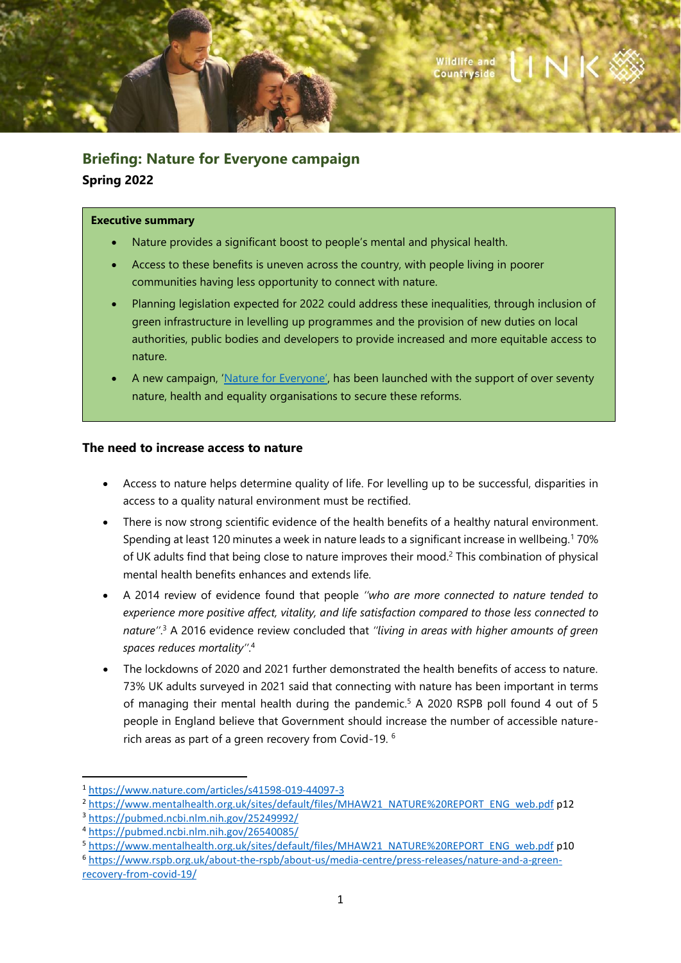

# **Briefing: Nature for Everyone campaign Spring 2022**

#### **Executive summary**

- Nature provides a significant boost to people's mental and physical health.
- Access to these benefits is uneven across the country, with people living in poorer communities having less opportunity to connect with nature.
- Planning legislation expected for 2022 could address these inequalities, through inclusion of green infrastructure in levelling up programmes and the provision of new duties on local authorities, public bodies and developers to provide increased and more equitable access to nature.
- A new campaign, ['Nature for Everyone'](https://www.wcl.org.uk/nature-for-everyone.asp), has been launched with the support of over seventy nature, health and equality organisations to secure these reforms.

### **The need to increase access to nature**

- Access to nature helps determine quality of life. For levelling up to be successful, disparities in access to a quality natural environment must be rectified.
- There is now strong scientific evidence of the health benefits of a healthy natural environment. Spending at least 120 minutes a week in nature leads to a significant increase in wellbeing. <sup>1</sup> 70% of UK adults find that being close to nature improves their mood. <sup>2</sup> This combination of physical mental health benefits enhances and extends life.
- A 2014 review of evidence found that people *''who are more connected to nature tended to experience more positive affect, vitality, and life satisfaction compared to those less connected to nature''*. <sup>3</sup> A 2016 evidence review concluded that *''living in areas with higher amounts of green spaces reduces mortality''*. 4
- The lockdowns of 2020 and 2021 further demonstrated the health benefits of access to nature. 73% UK adults surveyed in 2021 said that connecting with nature has been important in terms of managing their mental health during the pandemic. <sup>5</sup> A 2020 RSPB poll found 4 out of 5 people in England believe that Government should increase the number of accessible naturerich areas as part of a green recovery from Covid-19. 6

<sup>1</sup> <https://www.nature.com/articles/s41598-019-44097-3>

<sup>&</sup>lt;sup>2</sup> [https://www.mentalhealth.org.uk/sites/default/files/MHAW21\\_NATURE%20REPORT\\_ENG\\_web.pdf](https://www.mentalhealth.org.uk/sites/default/files/MHAW21_NATURE%20REPORT_ENG_web.pdf) p12

<sup>3</sup> <https://pubmed.ncbi.nlm.nih.gov/25249992/>

<sup>4</sup> <https://pubmed.ncbi.nlm.nih.gov/26540085/>

<sup>5</sup> [https://www.mentalhealth.org.uk/sites/default/files/MHAW21\\_NATURE%20REPORT\\_ENG\\_web.pdf](https://www.mentalhealth.org.uk/sites/default/files/MHAW21_NATURE%20REPORT_ENG_web.pdf) p10

<sup>6</sup> [https://www.rspb.org.uk/about-the-rspb/about-us/media-centre/press-releases/nature-and-a-green](https://www.rspb.org.uk/about-the-rspb/about-us/media-centre/press-releases/nature-and-a-green-recovery-from-covid-19/)[recovery-from-covid-19/](https://www.rspb.org.uk/about-the-rspb/about-us/media-centre/press-releases/nature-and-a-green-recovery-from-covid-19/)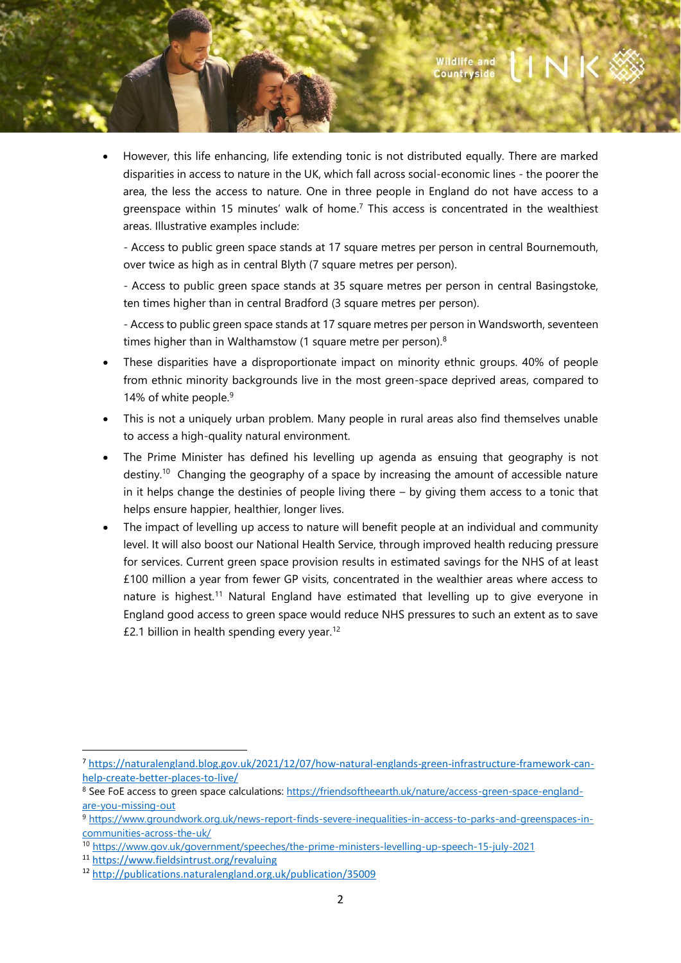• However, this life enhancing, life extending tonic is not distributed equally. There are marked disparities in access to nature in the UK, which fall across social-economic lines - the poorer the area, the less the access to nature. One in three people in England do not have access to a greenspace within 15 minutes' walk of home.<sup>7</sup> This access is concentrated in the wealthiest areas. Illustrative examples include:

- Access to public green space stands at 17 square metres per person in central Bournemouth, over twice as high as in central Blyth (7 square metres per person).

- Access to public green space stands at 35 square metres per person in central Basingstoke, ten times higher than in central Bradford (3 square metres per person).

- Access to public green space stands at 17 square metres per person in Wandsworth, seventeen times higher than in Walthamstow (1 square metre per person).<sup>8</sup>

- These disparities have a disproportionate impact on minority ethnic groups. 40% of people from ethnic minority backgrounds live in the most green-space deprived areas, compared to 14% of white people. 9
- This is not a uniquely urban problem. Many people in rural areas also find themselves unable to access a high-quality natural environment.
- The Prime Minister has defined his levelling up agenda as ensuing that geography is not destiny.<sup>10</sup> Changing the geography of a space by increasing the amount of accessible nature in it helps change the destinies of people living there – by giving them access to a tonic that helps ensure happier, healthier, longer lives.
- The impact of levelling up access to nature will benefit people at an individual and community level. It will also boost our National Health Service, through improved health reducing pressure for services. Current green space provision results in estimated savings for the NHS of at least £100 million a year from fewer GP visits, concentrated in the wealthier areas where access to nature is highest.<sup>11</sup> Natural England have estimated that levelling up to give everyone in England good access to green space would reduce NHS pressures to such an extent as to save £2.1 billion in health spending every year.<sup>12</sup>

<sup>7</sup> [https://naturalengland.blog.gov.uk/2021/12/07/how-natural-englands-green-infrastructure-framework-can](https://naturalengland.blog.gov.uk/2021/12/07/how-natural-englands-green-infrastructure-framework-can-help-create-better-places-to-live/)[help-create-better-places-to-live/](https://naturalengland.blog.gov.uk/2021/12/07/how-natural-englands-green-infrastructure-framework-can-help-create-better-places-to-live/)

<sup>8</sup> See FoE access to green space calculations[: https://friendsoftheearth.uk/nature/access-green-space-england](https://friendsoftheearth.uk/nature/access-green-space-england-are-you-missing-out)[are-you-missing-out](https://friendsoftheearth.uk/nature/access-green-space-england-are-you-missing-out)

<sup>9</sup> [https://www.groundwork.org.uk/news-report-finds-severe-inequalities-in-access-to-parks-and-greenspaces-in](https://www.groundwork.org.uk/news-report-finds-severe-inequalities-in-access-to-parks-and-greenspaces-in-communities-across-the-uk/)[communities-across-the-uk/](https://www.groundwork.org.uk/news-report-finds-severe-inequalities-in-access-to-parks-and-greenspaces-in-communities-across-the-uk/)

<sup>10</sup> <https://www.gov.uk/government/speeches/the-prime-ministers-levelling-up-speech-15-july-2021>

<sup>11</sup> <https://www.fieldsintrust.org/revaluing>

<sup>12</sup> <http://publications.naturalengland.org.uk/publication/35009>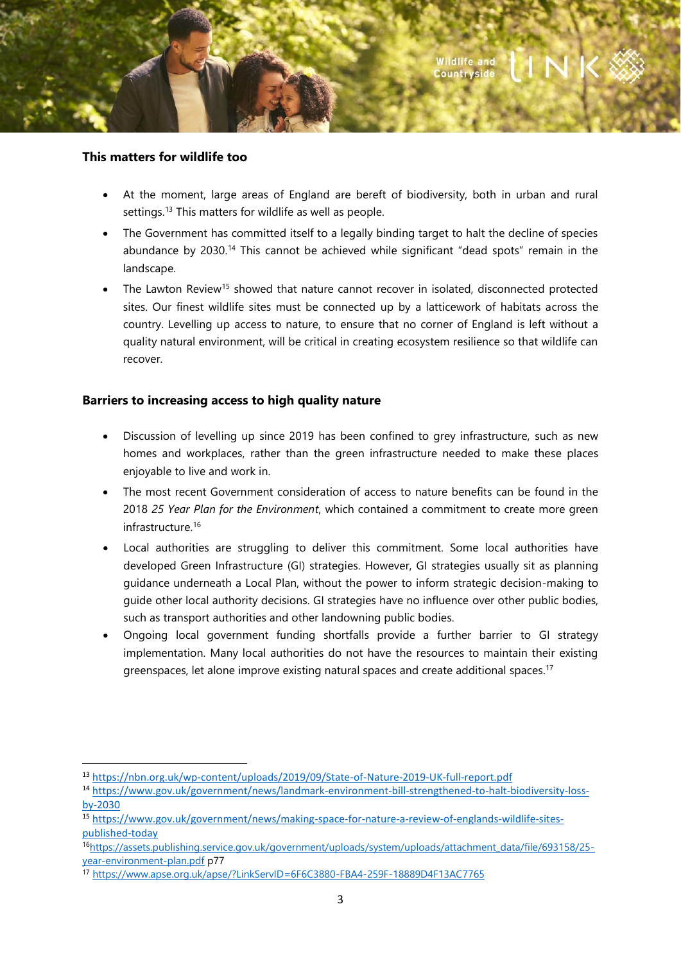

# **This matters for wildlife too**

- At the moment, large areas of England are bereft of biodiversity, both in urban and rural settings.<sup>13</sup> This matters for wildlife as well as people.
- The Government has committed itself to a legally binding target to halt the decline of species abundance by 2030.<sup>14</sup> This cannot be achieved while significant "dead spots" remain in the landscape.
- The Lawton Review<sup>15</sup> showed that nature cannot recover in isolated, disconnected protected sites. Our finest wildlife sites must be connected up by a latticework of habitats across the country. Levelling up access to nature, to ensure that no corner of England is left without a quality natural environment, will be critical in creating ecosystem resilience so that wildlife can recover.

# **Barriers to increasing access to high quality nature**

- Discussion of levelling up since 2019 has been confined to grey infrastructure, such as new homes and workplaces, rather than the green infrastructure needed to make these places enjoyable to live and work in.
- The most recent Government consideration of access to nature benefits can be found in the 2018 *25 Year Plan for the Environment*, which contained a commitment to create more green infrastructure. 16
- Local authorities are struggling to deliver this commitment. Some local authorities have developed Green Infrastructure (GI) strategies. However, GI strategies usually sit as planning guidance underneath a Local Plan, without the power to inform strategic decision-making to guide other local authority decisions. GI strategies have no influence over other public bodies, such as transport authorities and other landowning public bodies.
- Ongoing local government funding shortfalls provide a further barrier to GI strategy implementation. Many local authorities do not have the resources to maintain their existing greenspaces, let alone improve existing natural spaces and create additional spaces.<sup>17</sup>

<sup>13</sup> <https://nbn.org.uk/wp-content/uploads/2019/09/State-of-Nature-2019-UK-full-report.pdf>

<sup>14</sup> [https://www.gov.uk/government/news/landmark-environment-bill-strengthened-to-halt-biodiversity-loss](https://www.gov.uk/government/news/landmark-environment-bill-strengthened-to-halt-biodiversity-loss-by-2030)[by-2030](https://www.gov.uk/government/news/landmark-environment-bill-strengthened-to-halt-biodiversity-loss-by-2030)

<sup>15</sup> [https://www.gov.uk/government/news/making-space-for-nature-a-review-of-englands-wildlife-sites](https://www.gov.uk/government/news/making-space-for-nature-a-review-of-englands-wildlife-sites-published-today)[published-today](https://www.gov.uk/government/news/making-space-for-nature-a-review-of-englands-wildlife-sites-published-today)

<sup>16</sup>[https://assets.publishing.service.gov.uk/government/uploads/system/uploads/attachment\\_data/file/693158/25](https://assets.publishing.service.gov.uk/government/uploads/system/uploads/attachment_data/file/693158/25-year-environment-plan.pdf) [year-environment-plan.pdf](https://assets.publishing.service.gov.uk/government/uploads/system/uploads/attachment_data/file/693158/25-year-environment-plan.pdf) p77

<sup>17</sup> <https://www.apse.org.uk/apse/?LinkServID=6F6C3880-FBA4-259F-18889D4F13AC7765>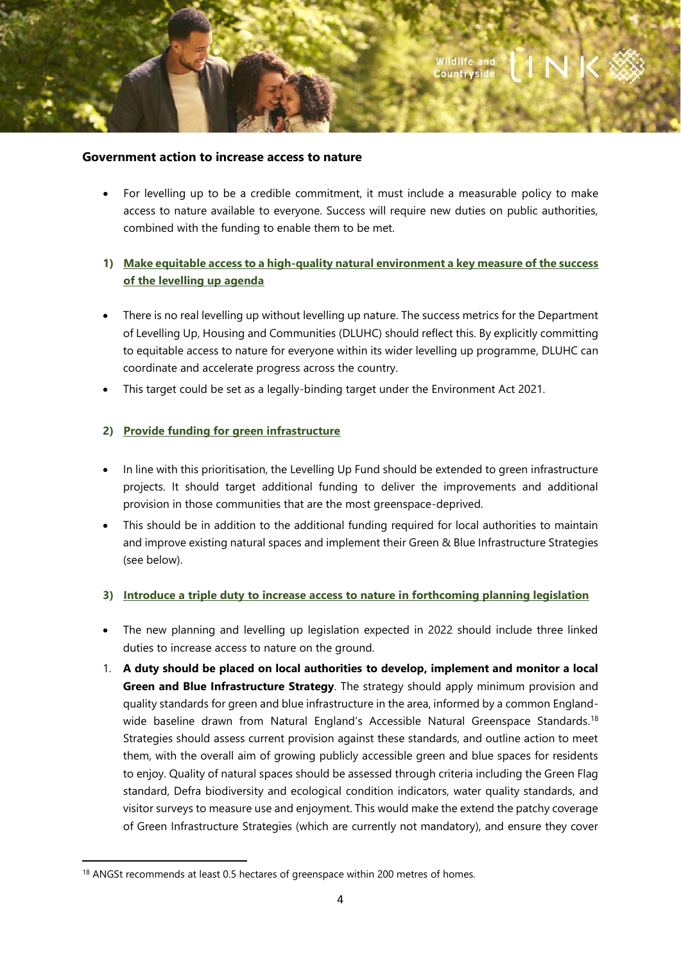#### **Government action to increase access to nature**

• For levelling up to be a credible commitment, it must include a measurable policy to make access to nature available to everyone. Success will require new duties on public authorities, combined with the funding to enable them to be met.

# **1) Make equitable access to a high-quality natural environment a key measure of the success of the levelling up agenda**

- There is no real levelling up without levelling up nature. The success metrics for the Department of Levelling Up, Housing and Communities (DLUHC) should reflect this. By explicitly committing to equitable access to nature for everyone within its wider levelling up programme, DLUHC can coordinate and accelerate progress across the country.
- This target could be set as a legally-binding target under the Environment Act 2021.

### **2) Provide funding for green infrastructure**

- In line with this prioritisation, the Levelling Up Fund should be extended to green infrastructure projects. It should target additional funding to deliver the improvements and additional provision in those communities that are the most greenspace-deprived.
- This should be in addition to the additional funding required for local authorities to maintain and improve existing natural spaces and implement their Green & Blue Infrastructure Strategies (see below).

#### **3) Introduce a triple duty to increase access to nature in forthcoming planning legislation**

- The new planning and levelling up legislation expected in 2022 should include three linked duties to increase access to nature on the ground.
- 1. **A duty should be placed on local authorities to develop, implement and monitor a local Green and Blue Infrastructure Strategy**. The strategy should apply minimum provision and quality standards for green and blue infrastructure in the area, informed by a common Englandwide baseline drawn from Natural England's Accessible Natural Greenspace Standards.<sup>18</sup> Strategies should assess current provision against these standards, and outline action to meet them, with the overall aim of growing publicly accessible green and blue spaces for residents to enjoy. Quality of natural spaces should be assessed through criteria including the Green Flag standard, Defra biodiversity and ecological condition indicators, water quality standards, and visitor surveys to measure use and enjoyment. This would make the extend the patchy coverage of Green Infrastructure Strategies (which are currently not mandatory), and ensure they cover

<sup>&</sup>lt;sup>18</sup> ANGSt recommends at least 0.5 hectares of greenspace within 200 metres of homes.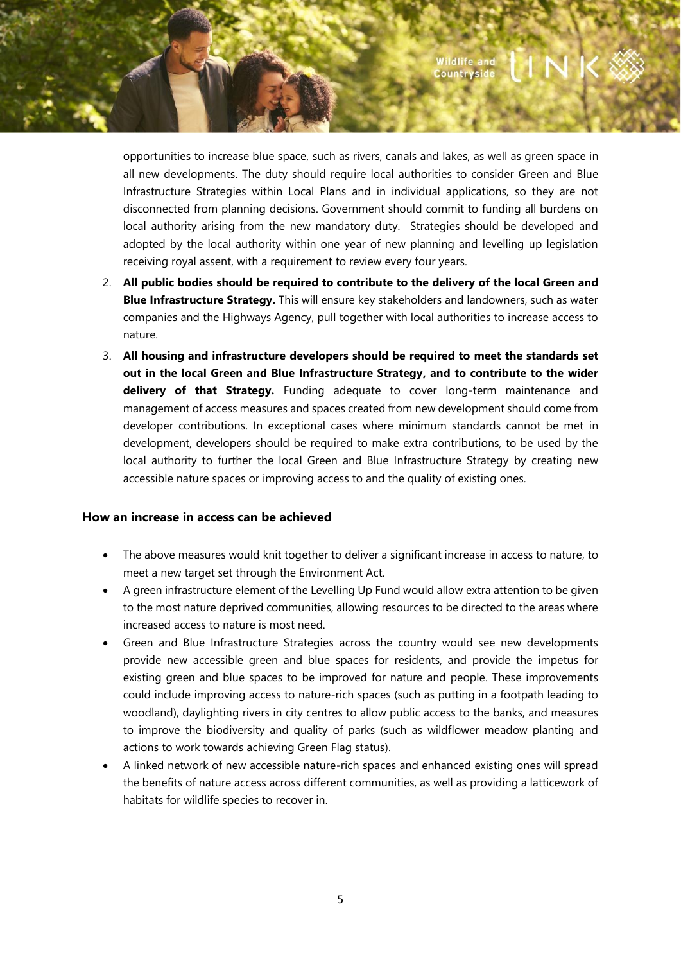opportunities to increase blue space, such as rivers, canals and lakes, as well as green space in all new developments. The duty should require local authorities to consider Green and Blue Infrastructure Strategies within Local Plans and in individual applications, so they are not disconnected from planning decisions. Government should commit to funding all burdens on local authority arising from the new mandatory duty. Strategies should be developed and adopted by the local authority within one year of new planning and levelling up legislation receiving royal assent, with a requirement to review every four years.

- 2. **All public bodies should be required to contribute to the delivery of the local Green and Blue Infrastructure Strategy.** This will ensure key stakeholders and landowners, such as water companies and the Highways Agency, pull together with local authorities to increase access to nature.
- 3. **All housing and infrastructure developers should be required to meet the standards set out in the local Green and Blue Infrastructure Strategy, and to contribute to the wider delivery of that Strategy.** Funding adequate to cover long-term maintenance and management of access measures and spaces created from new development should come from developer contributions. In exceptional cases where minimum standards cannot be met in development, developers should be required to make extra contributions, to be used by the local authority to further the local Green and Blue Infrastructure Strategy by creating new accessible nature spaces or improving access to and the quality of existing ones.

### **How an increase in access can be achieved**

- The above measures would knit together to deliver a significant increase in access to nature, to meet a new target set through the Environment Act.
- A green infrastructure element of the Levelling Up Fund would allow extra attention to be given to the most nature deprived communities, allowing resources to be directed to the areas where increased access to nature is most need.
- Green and Blue Infrastructure Strategies across the country would see new developments provide new accessible green and blue spaces for residents, and provide the impetus for existing green and blue spaces to be improved for nature and people. These improvements could include improving access to nature-rich spaces (such as putting in a footpath leading to woodland), daylighting rivers in city centres to allow public access to the banks, and measures to improve the biodiversity and quality of parks (such as wildflower meadow planting and actions to work towards achieving Green Flag status).
- A linked network of new accessible nature-rich spaces and enhanced existing ones will spread the benefits of nature access across different communities, as well as providing a latticework of habitats for wildlife species to recover in.